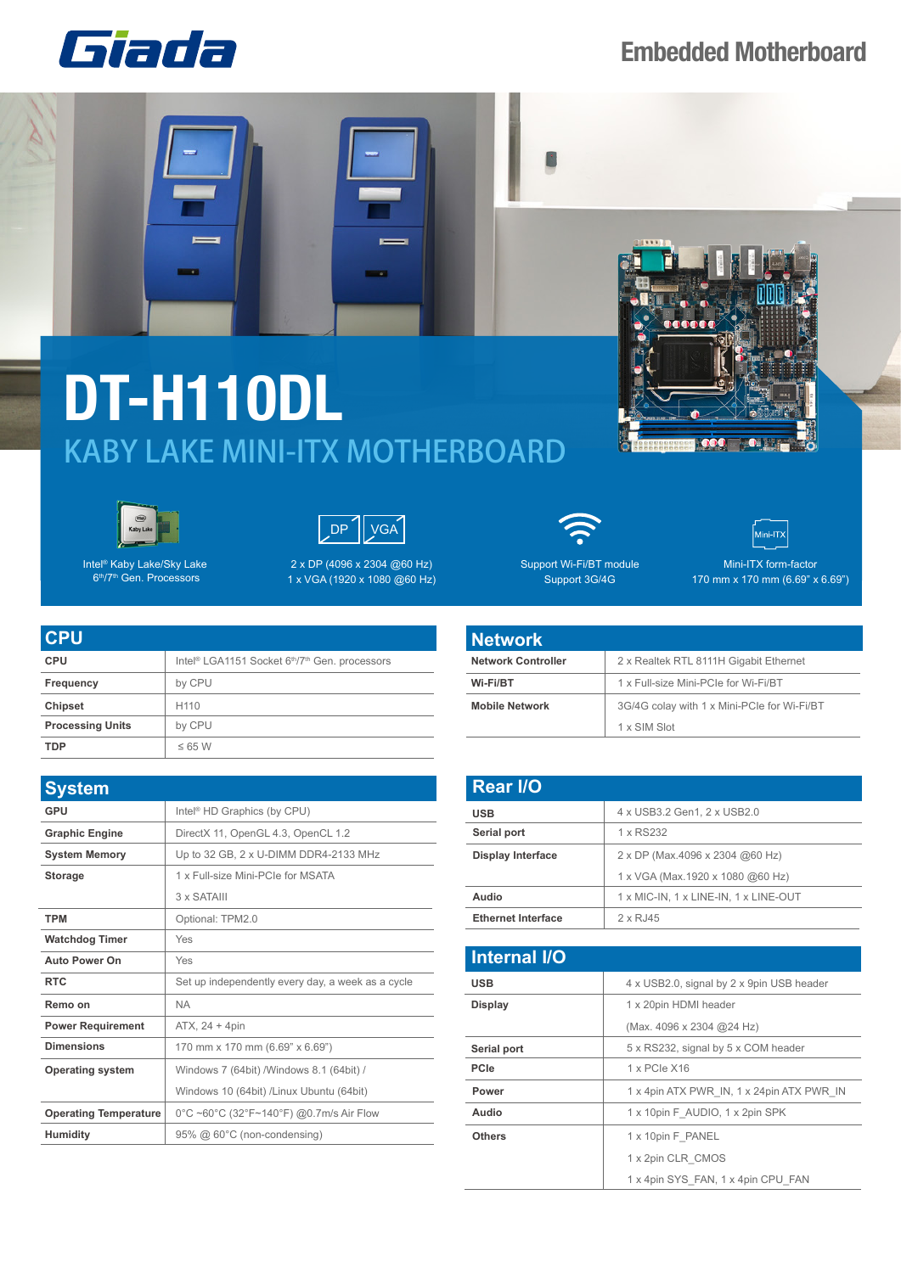

## **Embedded Motherboard**

## **DT-H110DL** KABY LAKE MINI-ITX MOTHERBOARD





Intel® Kaby Lake/Sky Lake 6th/7th Gen. Processors

**CPU**



2 x DP (4096 x 2304 @60 Hz) 1 x VGA (1920 x 1080 @60 Hz)



Mini-ITX Mini-ITX form-factor 170 mm x 170 mm (6.69" x 6.69")

| <b>CPU</b>              | Intel <sup>®</sup> LGA1151 Socket 6 <sup>th</sup> /7 <sup>th</sup> Gen. processors |
|-------------------------|------------------------------------------------------------------------------------|
| Frequency               | by CPU                                                                             |
| <b>Chipset</b>          | H <sub>110</sub>                                                                   |
| <b>Processing Units</b> | by CPU                                                                             |
| <b>TDP</b>              | $\leq$ 6.5 W                                                                       |

| <b>System</b>                |                                                   |
|------------------------------|---------------------------------------------------|
| GPU                          | Intel <sup>®</sup> HD Graphics (by CPU)           |
| <b>Graphic Engine</b>        | DirectX 11, OpenGL 4.3, OpenCL 1.2                |
| <b>System Memory</b>         | Up to 32 GB, 2 x U-DIMM DDR4-2133 MHz             |
| <b>Storage</b>               | 1 x Full-size Mini-PCIe for MSATA                 |
|                              | 3 x SATAIII                                       |
| <b>TPM</b>                   | Optional: TPM2.0                                  |
| <b>Watchdog Timer</b>        | Yes                                               |
| <b>Auto Power On</b>         | Yes                                               |
| <b>RTC</b>                   | Set up independently every day, a week as a cycle |
| Remo on                      | <b>NA</b>                                         |
| <b>Power Requirement</b>     | ATX, 24 + 4pin                                    |
| <b>Dimensions</b>            | 170 mm x 170 mm (6.69" x 6.69")                   |
| <b>Operating system</b>      | Windows 7 (64bit) / Windows 8.1 (64bit) /         |
|                              | Windows 10 (64bit) /Linux Ubuntu (64bit)          |
| <b>Operating Temperature</b> | 0°C ~60°C (32°F~140°F) @0.7m/s Air Flow           |
| <b>Humidity</b>              | 95% @ 60°C (non-condensing)                       |



| Network Controller    | 2 x Realtek RTL 8111H Gigabit Ethernet      |  |  |
|-----------------------|---------------------------------------------|--|--|
| Wi-Fi/BT              | 1 x Full-size Mini-PCIe for Wi-Fi/BT        |  |  |
| <b>Mobile Network</b> | 3G/4G colay with 1 x Mini-PCIe for Wi-Fi/BT |  |  |
|                       | 1 x SIM Slot                                |  |  |

| <b>Rear I/O</b>           |                                       |
|---------------------------|---------------------------------------|
| <b>USB</b>                | 4 x USB3.2 Gen1, 2 x USB2.0           |
| Serial port               | 1 x RS232                             |
| <b>Display Interface</b>  | 2 x DP (Max.4096 x 2304 @60 Hz)       |
|                           | 1 x VGA (Max.1920 x 1080 @60 Hz)      |
| Audio                     | 1 x MIC-IN, 1 x LINE-IN, 1 x LINE-OUT |
| <b>Ethernet Interface</b> | 2 x RJ45                              |

| <b>Internal I/O</b> |                                           |
|---------------------|-------------------------------------------|
| <b>USB</b>          | 4 x USB2.0, signal by 2 x 9pin USB header |
| <b>Display</b>      | 1 x 20pin HDMI header                     |
|                     | (Max. 4096 x 2304 @24 Hz)                 |
| Serial port         | 5 x RS232, signal by 5 x COM header       |
| <b>PCIe</b>         | 1 x PCIe X16                              |
| Power               | 1 x 4pin ATX PWR IN, 1 x 24pin ATX PWR IN |
| Audio               | 1 x 10pin F AUDIO, 1 x 2pin SPK           |
| <b>Others</b>       | 1 x 10pin F PANEL                         |
|                     | 1 x 2pin CLR CMOS                         |
|                     | 1 x 4pin SYS FAN, 1 x 4pin CPU FAN        |